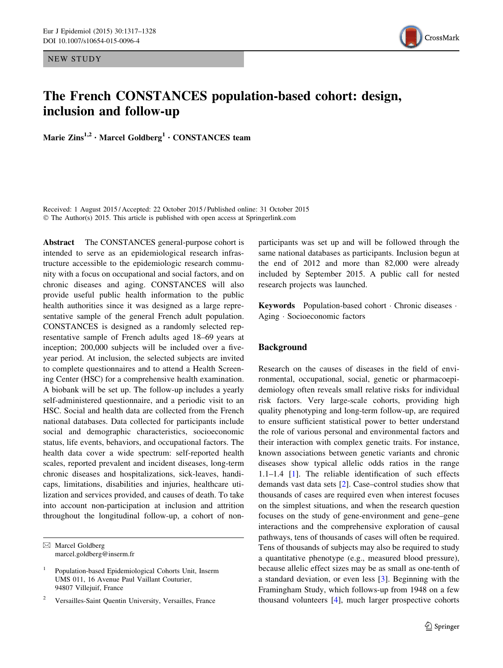NEW STUDY



# The French CONSTANCES population-based cohort: design, inclusion and follow-up

Marie  $\mathrm{Zins}^{1,2}$  • Marcel Goldberg<sup>1</sup> • CONSTANCES team

Received: 1 August 2015 / Accepted: 22 October 2015 / Published online: 31 October 2015 © The Author(s) 2015. This article is published with open access at Springerlink.com

Abstract The CONSTANCES general-purpose cohort is intended to serve as an epidemiological research infrastructure accessible to the epidemiologic research community with a focus on occupational and social factors, and on chronic diseases and aging. CONSTANCES will also provide useful public health information to the public health authorities since it was designed as a large representative sample of the general French adult population. CONSTANCES is designed as a randomly selected representative sample of French adults aged 18–69 years at inception; 200,000 subjects will be included over a fiveyear period. At inclusion, the selected subjects are invited to complete questionnaires and to attend a Health Screening Center (HSC) for a comprehensive health examination. A biobank will be set up. The follow-up includes a yearly self-administered questionnaire, and a periodic visit to an HSC. Social and health data are collected from the French national databases. Data collected for participants include social and demographic characteristics, socioeconomic status, life events, behaviors, and occupational factors. The health data cover a wide spectrum: self-reported health scales, reported prevalent and incident diseases, long-term chronic diseases and hospitalizations, sick-leaves, handicaps, limitations, disabilities and injuries, healthcare utilization and services provided, and causes of death. To take into account non-participation at inclusion and attrition throughout the longitudinal follow-up, a cohort of non-

 $\boxtimes$  Marcel Goldberg marcel.goldberg@inserm.fr participants was set up and will be followed through the same national databases as participants. Inclusion begun at the end of 2012 and more than 82,000 were already included by September 2015. A public call for nested research projects was launched.

Keywords Population-based cohort · Chronic diseases · Aging - Socioeconomic factors

# Background

Research on the causes of diseases in the field of environmental, occupational, social, genetic or pharmacoepidemiology often reveals small relative risks for individual risk factors. Very large-scale cohorts, providing high quality phenotyping and long-term follow-up, are required to ensure sufficient statistical power to better understand the role of various personal and environmental factors and their interaction with complex genetic traits. For instance, known associations between genetic variants and chronic diseases show typical allelic odds ratios in the range 1.1–1.4 [\[1](#page-9-0)]. The reliable identification of such effects demands vast data sets [[2\]](#page-9-0). Case–control studies show that thousands of cases are required even when interest focuses on the simplest situations, and when the research question focuses on the study of gene-environment and gene–gene interactions and the comprehensive exploration of causal pathways, tens of thousands of cases will often be required. Tens of thousands of subjects may also be required to study a quantitative phenotype (e.g., measured blood pressure), because allelic effect sizes may be as small as one-tenth of a standard deviation, or even less [\[3](#page-9-0)]. Beginning with the Framingham Study, which follows-up from 1948 on a few thousand volunteers [[4\]](#page-9-0), much larger prospective cohorts

<sup>1</sup> Population-based Epidemiological Cohorts Unit, Inserm UMS 011, 16 Avenue Paul Vaillant Couturier, 94807 Villejuif, France

<sup>2</sup> Versailles-Saint Quentin University, Versailles, France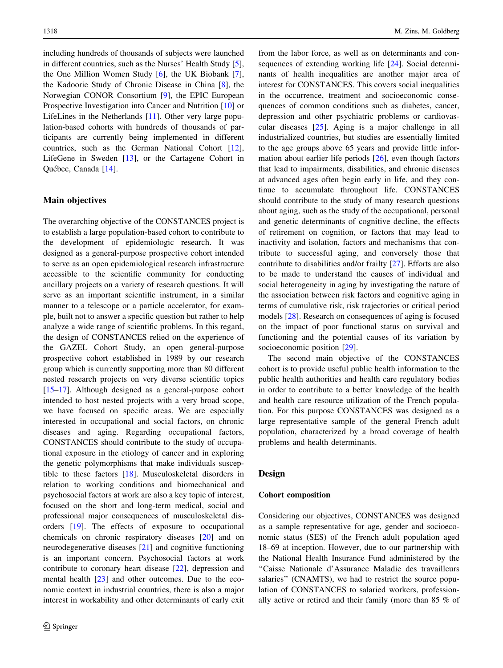including hundreds of thousands of subjects were launched in different countries, such as the Nurses' Health Study [\[5](#page-9-0)], the One Million Women Study [[6\]](#page-9-0), the UK Biobank [\[7](#page-9-0)], the Kadoorie Study of Chronic Disease in China [\[8](#page-9-0)], the Norwegian CONOR Consortium [\[9](#page-9-0)], the EPIC European Prospective Investigation into Cancer and Nutrition [[10\]](#page-9-0) or LifeLines in the Netherlands [[11\]](#page-10-0). Other very large population-based cohorts with hundreds of thousands of participants are currently being implemented in different countries, such as the German National Cohort [\[12](#page-10-0)], LifeGene in Sweden [\[13](#page-10-0)], or the Cartagene Cohort in Québec, Canada [\[14](#page-10-0)].

# Main objectives

The overarching objective of the CONSTANCES project is to establish a large population-based cohort to contribute to the development of epidemiologic research. It was designed as a general-purpose prospective cohort intended to serve as an open epidemiological research infrastructure accessible to the scientific community for conducting ancillary projects on a variety of research questions. It will serve as an important scientific instrument, in a similar manner to a telescope or a particle accelerator, for example, built not to answer a specific question but rather to help analyze a wide range of scientific problems. In this regard, the design of CONSTANCES relied on the experience of the GAZEL Cohort Study, an open general-purpose prospective cohort established in 1989 by our research group which is currently supporting more than 80 different nested research projects on very diverse scientific topics [\[15–17](#page-10-0)]. Although designed as a general-purpose cohort intended to host nested projects with a very broad scope, we have focused on specific areas. We are especially interested in occupational and social factors, on chronic diseases and aging. Regarding occupational factors, CONSTANCES should contribute to the study of occupational exposure in the etiology of cancer and in exploring the genetic polymorphisms that make individuals susceptible to these factors [\[18](#page-10-0)]. Musculoskeletal disorders in relation to working conditions and biomechanical and psychosocial factors at work are also a key topic of interest, focused on the short and long-term medical, social and professional major consequences of musculoskeletal disorders [\[19](#page-10-0)]. The effects of exposure to occupational chemicals on chronic respiratory diseases [[20\]](#page-10-0) and on neurodegenerative diseases [[21\]](#page-10-0) and cognitive functioning is an important concern. Psychosocial factors at work contribute to coronary heart disease [[22\]](#page-10-0), depression and mental health [\[23](#page-10-0)] and other outcomes. Due to the economic context in industrial countries, there is also a major interest in workability and other determinants of early exit from the labor force, as well as on determinants and consequences of extending working life [\[24](#page-10-0)]. Social determinants of health inequalities are another major area of interest for CONSTANCES. This covers social inequalities in the occurrence, treatment and socioeconomic consequences of common conditions such as diabetes, cancer, depression and other psychiatric problems or cardiovascular diseases [\[25](#page-10-0)]. Aging is a major challenge in all industrialized countries, but studies are essentially limited to the age groups above 65 years and provide little information about earlier life periods [[26\]](#page-10-0), even though factors that lead to impairments, disabilities, and chronic diseases at advanced ages often begin early in life, and they continue to accumulate throughout life. CONSTANCES should contribute to the study of many research questions about aging, such as the study of the occupational, personal and genetic determinants of cognitive decline, the effects of retirement on cognition, or factors that may lead to inactivity and isolation, factors and mechanisms that contribute to successful aging, and conversely those that contribute to disabilities and/or frailty [\[27](#page-10-0)]. Efforts are also to be made to understand the causes of individual and social heterogeneity in aging by investigating the nature of the association between risk factors and cognitive aging in terms of cumulative risk, risk trajectories or critical period models [[28\]](#page-10-0). Research on consequences of aging is focused on the impact of poor functional status on survival and functioning and the potential causes of its variation by socioeconomic position [\[29](#page-10-0)].

The second main objective of the CONSTANCES cohort is to provide useful public health information to the public health authorities and health care regulatory bodies in order to contribute to a better knowledge of the health and health care resource utilization of the French population. For this purpose CONSTANCES was designed as a large representative sample of the general French adult population, characterized by a broad coverage of health problems and health determinants.

#### Design

#### Cohort composition

Considering our objectives, CONSTANCES was designed as a sample representative for age, gender and socioeconomic status (SES) of the French adult population aged 18–69 at inception. However, due to our partnership with the National Health Insurance Fund administered by the ''Caisse Nationale d'Assurance Maladie des travailleurs salaries" (CNAMTS), we had to restrict the source population of CONSTANCES to salaried workers, professionally active or retired and their family (more than 85 % of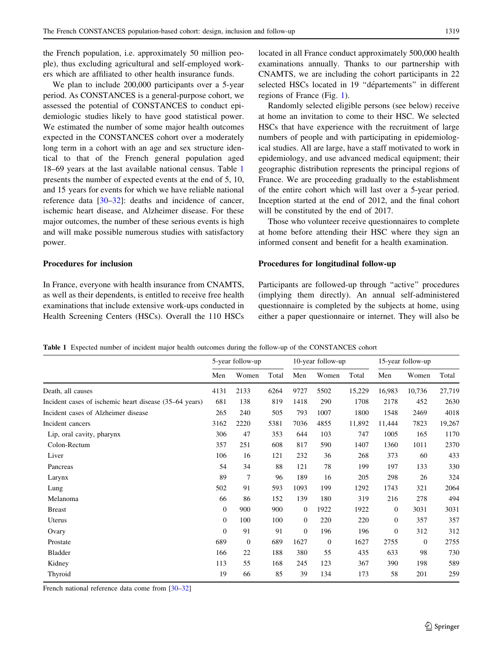the French population, i.e. approximately 50 million people), thus excluding agricultural and self-employed workers which are affiliated to other health insurance funds.

We plan to include 200,000 participants over a 5-year period. As CONSTANCES is a general-purpose cohort, we assessed the potential of CONSTANCES to conduct epidemiologic studies likely to have good statistical power. We estimated the number of some major health outcomes expected in the CONSTANCES cohort over a moderately long term in a cohort with an age and sex structure identical to that of the French general population aged 18–69 years at the last available national census. Table 1 presents the number of expected events at the end of 5, 10, and 15 years for events for which we have reliable national reference data [\[30–32](#page-10-0)]: deaths and incidence of cancer, ischemic heart disease, and Alzheimer disease. For these major outcomes, the number of these serious events is high and will make possible numerous studies with satisfactory power.

# Procedures for inclusion

In France, everyone with health insurance from CNAMTS, as well as their dependents, is entitled to receive free health examinations that include extensive work-ups conducted in Health Screening Centers (HSCs). Overall the 110 HSCs located in all France conduct approximately 500,000 health examinations annually. Thanks to our partnership with CNAMTS, we are including the cohort participants in 22 selected HSCs located in 19 "départements" in different regions of France (Fig. [1](#page-3-0)).

Randomly selected eligible persons (see below) receive at home an invitation to come to their HSC. We selected HSCs that have experience with the recruitment of large numbers of people and with participating in epidemiological studies. All are large, have a staff motivated to work in epidemiology, and use advanced medical equipment; their geographic distribution represents the principal regions of France. We are proceeding gradually to the establishment of the entire cohort which will last over a 5-year period. Inception started at the end of 2012, and the final cohort will be constituted by the end of 2017.

Those who volunteer receive questionnaires to complete at home before attending their HSC where they sign an informed consent and benefit for a health examination.

#### Procedures for longitudinal follow-up

Participants are followed-up through "active" procedures (implying them directly). An annual self-administered questionnaire is completed by the subjects at home, using either a paper questionnaire or internet. They will also be

Table 1 Expected number of incident major health outcomes during the follow-up of the CONSTANCES cohort

|                                                        | 5-year follow-up |          | 10-year follow-up |              |          | 15-year follow-up |                |              |        |
|--------------------------------------------------------|------------------|----------|-------------------|--------------|----------|-------------------|----------------|--------------|--------|
|                                                        | Men              | Women    | Total             | Men          | Women    | Total             | Men            | Women        | Total  |
| Death, all causes                                      | 4131             | 2133     | 6264              | 9727         | 5502     | 15,229            | 16,983         | 10,736       | 27,719 |
| Incident cases of ischemic heart disease (35–64 years) | 681              | 138      | 819               | 1418         | 290      | 1708              | 2178           | 452          | 2630   |
| Incident cases of Alzheimer disease                    | 265              | 240      | 505               | 793          | 1007     | 1800              | 1548           | 2469         | 4018   |
| Incident cancers                                       | 3162             | 2220     | 5381              | 7036         | 4855     | 11,892            | 11,444         | 7823         | 19,267 |
| Lip, oral cavity, pharynx                              | 306              | 47       | 353               | 644          | 103      | 747               | 1005           | 165          | 1170   |
| Colon-Rectum                                           | 357              | 251      | 608               | 817          | 590      | 1407              | 1360           | 1011         | 2370   |
| Liver                                                  | 106              | 16       | 121               | 232          | 36       | 268               | 373            | 60           | 433    |
| Pancreas                                               | 54               | 34       | 88                | 121          | 78       | 199               | 197            | 133          | 330    |
| Larynx                                                 | 89               | 7        | 96                | 189          | 16       | 205               | 298            | 26           | 324    |
| Lung                                                   | 502              | 91       | 593               | 1093         | 199      | 1292              | 1743           | 321          | 2064   |
| Melanoma                                               | 66               | 86       | 152               | 139          | 180      | 319               | 216            | 278          | 494    |
| <b>Breast</b>                                          | $\mathbf{0}$     | 900      | 900               | $\mathbf{0}$ | 1922     | 1922              | $\overline{0}$ | 3031         | 3031   |
| Uterus                                                 | $\Omega$         | 100      | 100               | $\Omega$     | 220      | 220               | $\overline{0}$ | 357          | 357    |
| Ovary                                                  | $\mathbf{0}$     | 91       | 91                | $\mathbf{0}$ | 196      | 196               | $\mathbf{0}$   | 312          | 312    |
| Prostate                                               | 689              | $\theta$ | 689               | 1627         | $\theta$ | 1627              | 2755           | $\mathbf{0}$ | 2755   |
| Bladder                                                | 166              | 22       | 188               | 380          | 55       | 435               | 633            | 98           | 730    |
| Kidney                                                 | 113              | 55       | 168               | 245          | 123      | 367               | 390            | 198          | 589    |
| Thyroid                                                | 19               | 66       | 85                | 39           | 134      | 173               | 58             | 201          | 259    |

French national reference data come from [[30–32\]](#page-10-0)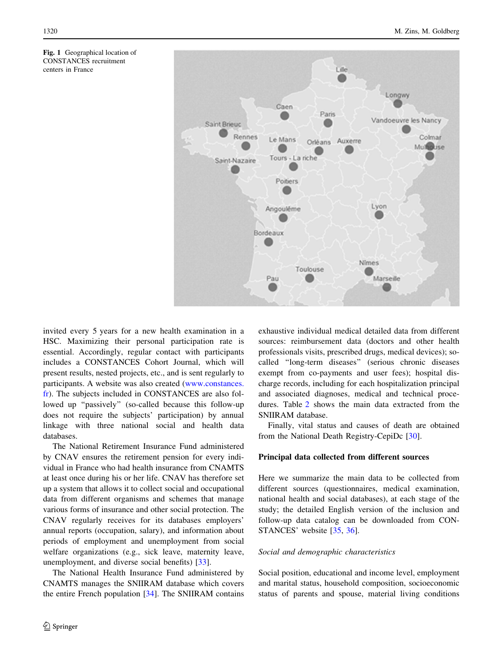<span id="page-3-0"></span>



invited every 5 years for a new health examination in a HSC. Maximizing their personal participation rate is essential. Accordingly, regular contact with participants includes a CONSTANCES Cohort Journal, which will present results, nested projects, etc., and is sent regularly to participants. A website was also created [\(www.constances.](http://www.constances.fr) [fr\)](http://www.constances.fr). The subjects included in CONSTANCES are also followed up "passively" (so-called because this follow-up does not require the subjects' participation) by annual linkage with three national social and health data databases.

The National Retirement Insurance Fund administered by CNAV ensures the retirement pension for every individual in France who had health insurance from CNAMTS at least once during his or her life. CNAV has therefore set up a system that allows it to collect social and occupational data from different organisms and schemes that manage various forms of insurance and other social protection. The CNAV regularly receives for its databases employers' annual reports (occupation, salary), and information about periods of employment and unemployment from social welfare organizations (e.g., sick leave, maternity leave, unemployment, and diverse social benefits) [[33\]](#page-10-0).

The National Health Insurance Fund administered by CNAMTS manages the SNIIRAM database which covers the entire French population [[34\]](#page-10-0). The SNIIRAM contains

exhaustive individual medical detailed data from different sources: reimbursement data (doctors and other health professionals visits, prescribed drugs, medical devices); socalled ''long-term diseases'' (serious chronic diseases exempt from co-payments and user fees); hospital discharge records, including for each hospitalization principal and associated diagnoses, medical and technical procedures. Table [2](#page-4-0) shows the main data extracted from the SNIIRAM database.

Finally, vital status and causes of death are obtained from the National Death Registry-CepiDc [\[30](#page-10-0)].

# Principal data collected from different sources

Here we summarize the main data to be collected from different sources (questionnaires, medical examination, national health and social databases), at each stage of the study; the detailed English version of the inclusion and follow-up data catalog can be downloaded from CON-STANCES' website [\[35](#page-10-0), [36](#page-10-0)].

# Social and demographic characteristics

Social position, educational and income level, employment and marital status, household composition, socioeconomic status of parents and spouse, material living conditions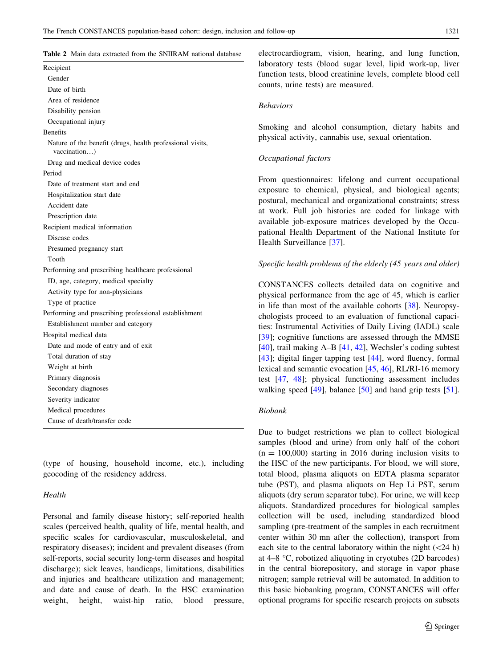<span id="page-4-0"></span>

| <b>Table 2</b> Main data extracted from the SNIIRAM national database |  |
|-----------------------------------------------------------------------|--|
|-----------------------------------------------------------------------|--|

(type of housing, household income, etc.), including geocoding of the residency address.

# Health

Personal and family disease history; self-reported health scales (perceived health, quality of life, mental health, and specific scales for cardiovascular, musculoskeletal, and respiratory diseases); incident and prevalent diseases (from self-reports, social security long-term diseases and hospital discharge); sick leaves, handicaps, limitations, disabilities and injuries and healthcare utilization and management; and date and cause of death. In the HSC examination weight, height, waist-hip ratio, blood pressure, electrocardiogram, vision, hearing, and lung function, laboratory tests (blood sugar level, lipid work-up, liver function tests, blood creatinine levels, complete blood cell counts, urine tests) are measured.

# Behaviors

Smoking and alcohol consumption, dietary habits and physical activity, cannabis use, sexual orientation.

#### Occupational factors

From questionnaires: lifelong and current occupational exposure to chemical, physical, and biological agents; postural, mechanical and organizational constraints; stress at work. Full job histories are coded for linkage with available job-exposure matrices developed by the Occupational Health Department of the National Institute for Health Surveillance [[37\]](#page-10-0).

### Specific health problems of the elderly (45 years and older)

CONSTANCES collects detailed data on cognitive and physical performance from the age of 45, which is earlier in life than most of the available cohorts [[38\]](#page-10-0). Neuropsychologists proceed to an evaluation of functional capacities: Instrumental Activities of Daily Living (IADL) scale [\[39](#page-10-0)]; cognitive functions are assessed through the MMSE [\[40](#page-10-0)], trail making A–B [[41,](#page-10-0) [42](#page-10-0)], Wechsler's coding subtest [\[43](#page-10-0)]; digital finger tapping test [[44](#page-10-0)], word fluency, formal lexical and semantic evocation [[45,](#page-10-0) [46\]](#page-10-0), RL/RI-16 memory test [\[47](#page-10-0), [48\]](#page-10-0); physical functioning assessment includes walking speed [\[49](#page-10-0)], balance [[50](#page-10-0)] and hand grip tests [\[51](#page-10-0)].

# Biobank

Due to budget restrictions we plan to collect biological samples (blood and urine) from only half of the cohort  $(n = 100,000)$  starting in 2016 during inclusion visits to the HSC of the new participants. For blood, we will store, total blood, plasma aliquots on EDTA plasma separator tube (PST), and plasma aliquots on Hep Li PST, serum aliquots (dry serum separator tube). For urine, we will keep aliquots. Standardized procedures for biological samples collection will be used, including standardized blood sampling (pre-treatment of the samples in each recruitment center within 30 mn after the collection), transport from each site to the central laboratory within the night  $(<24 h)$ at  $4-8$  °C, robotized aliquoting in cryotubes (2D barcodes) in the central biorepository, and storage in vapor phase nitrogen; sample retrieval will be automated. In addition to this basic biobanking program, CONSTANCES will offer optional programs for specific research projects on subsets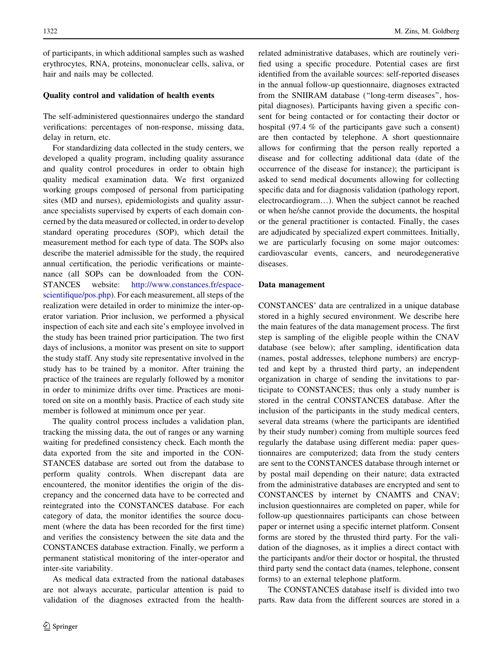of participants, in which additional samples such as washed erythrocytes, RNA, proteins, mononuclear cells, saliva, or hair and nails may be collected.

# Quality control and validation of health events

The self-administered questionnaires undergo the standard verifications: percentages of non-response, missing data, delay in return, etc.

For standardizing data collected in the study centers, we developed a quality program, including quality assurance and quality control procedures in order to obtain high quality medical examination data. We first organized working groups composed of personal from participating sites (MD and nurses), epidemiologists and quality assurance specialists supervised by experts of each domain concerned by the data measured or collected, in order to develop standard operating procedures (SOP), which detail the measurement method for each type of data. The SOPs also describe the materiel admissible for the study, the required annual certification, the periodic verifications or maintenance (all SOPs can be downloaded from the CON-STANCES website: [http://www.constances.fr/espace](http://www.constances.fr/espace-scientifique/pos.php)[scientifique/pos.php](http://www.constances.fr/espace-scientifique/pos.php)). For each measurement, all steps of the realization were detailed in order to minimize the inter-operator variation. Prior inclusion, we performed a physical inspection of each site and each site's employee involved in the study has been trained prior participation. The two first days of inclusions, a monitor was present on site to support the study staff. Any study site representative involved in the study has to be trained by a monitor. After training the practice of the trainees are regularly followed by a monitor in order to minimize drifts over time. Practices are monitored on site on a monthly basis. Practice of each study site member is followed at minimum once per year.

The quality control process includes a validation plan, tracking the missing data, the out of ranges or any warning waiting for predefined consistency check. Each month the data exported from the site and imported in the CON-STANCES database are sorted out from the database to perform quality controls. When discrepant data are encountered, the monitor identifies the origin of the discrepancy and the concerned data have to be corrected and reintegrated into the CONSTANCES database. For each category of data, the monitor identifies the source document (where the data has been recorded for the first time) and verifies the consistency between the site data and the CONSTANCES database extraction. Finally, we perform a permanent statistical monitoring of the inter-operator and inter-site variability.

As medical data extracted from the national databases are not always accurate, particular attention is paid to validation of the diagnoses extracted from the healthrelated administrative databases, which are routinely verified using a specific procedure. Potential cases are first identified from the available sources: self-reported diseases in the annual follow-up questionnaire, diagnoses extracted from the SNIIRAM database (''long-term diseases'', hospital diagnoses). Participants having given a specific consent for being contacted or for contacting their doctor or hospital (97.4 % of the participants gave such a consent) are then contacted by telephone. A short questionnaire allows for confirming that the person really reported a disease and for collecting additional data (date of the occurrence of the disease for instance); the participant is asked to send medical documents allowing for collecting specific data and for diagnosis validation (pathology report, electrocardiogram…). When the subject cannot be reached or when he/she cannot provide the documents, the hospital or the general practitioner is contacted. Finally, the cases are adjudicated by specialized expert committees. Initially, we are particularly focusing on some major outcomes: cardiovascular events, cancers, and neurodegenerative diseases.

### Data management

CONSTANCES' data are centralized in a unique database stored in a highly secured environment. We describe here the main features of the data management process. The first step is sampling of the eligible people within the CNAV database (see below); after sampling, identification data (names, postal addresses, telephone numbers) are encrypted and kept by a thrusted third party, an independent organization in charge of sending the invitations to participate to CONSTANCES; thus only a study number is stored in the central CONSTANCES database. After the inclusion of the participants in the study medical centers, several data streams (where the participants are identified by their study number) coming from multiple sources feed regularly the database using different media: paper questionnaires are computerized; data from the study centers are sent to the CONSTANCES database through internet or by postal mail depending on their nature; data extracted from the administrative databases are encrypted and sent to CONSTANCES by internet by CNAMTS and CNAV; inclusion questionnaires are completed on paper, while for follow-up questionnaires participants can chose between paper or internet using a specific internet platform. Consent forms are stored by the thrusted third party. For the validation of the diagnoses, as it implies a direct contact with the participants and/or their doctor or hospital, the thrusted third party send the contact data (names, telephone, consent forms) to an external telephone platform.

The CONSTANCES database itself is divided into two parts. Raw data from the different sources are stored in a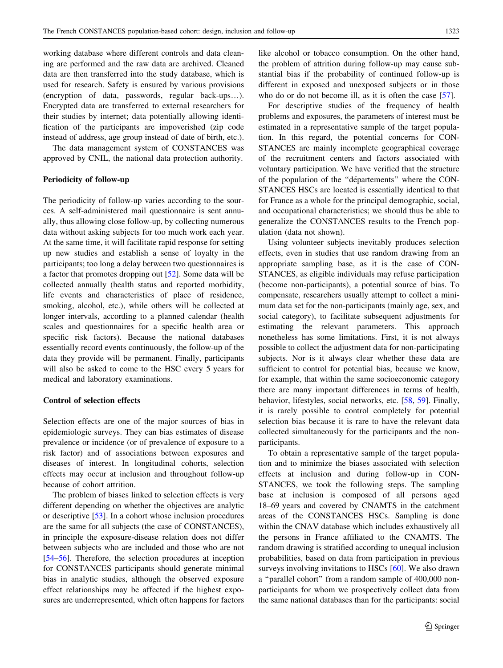working database where different controls and data cleaning are performed and the raw data are archived. Cleaned data are then transferred into the study database, which is used for research. Safety is ensured by various provisions (encryption of data, passwords, regular back-ups…). Encrypted data are transferred to external researchers for their studies by internet; data potentially allowing identification of the participants are impoverished (zip code instead of address, age group instead of date of birth, etc.).

The data management system of CONSTANCES was approved by CNIL, the national data protection authority.

#### Periodicity of follow-up

The periodicity of follow-up varies according to the sources. A self-administered mail questionnaire is sent annually, thus allowing close follow-up, by collecting numerous data without asking subjects for too much work each year. At the same time, it will facilitate rapid response for setting up new studies and establish a sense of loyalty in the participants; too long a delay between two questionnaires is a factor that promotes dropping out [[52\]](#page-10-0). Some data will be collected annually (health status and reported morbidity, life events and characteristics of place of residence, smoking, alcohol, etc.), while others will be collected at longer intervals, according to a planned calendar (health scales and questionnaires for a specific health area or specific risk factors). Because the national databases essentially record events continuously, the follow-up of the data they provide will be permanent. Finally, participants will also be asked to come to the HSC every 5 years for medical and laboratory examinations.

#### Control of selection effects

Selection effects are one of the major sources of bias in epidemiologic surveys. They can bias estimates of disease prevalence or incidence (or of prevalence of exposure to a risk factor) and of associations between exposures and diseases of interest. In longitudinal cohorts, selection effects may occur at inclusion and throughout follow-up because of cohort attrition.

The problem of biases linked to selection effects is very different depending on whether the objectives are analytic or descriptive [\[53](#page-11-0)]. In a cohort whose inclusion procedures are the same for all subjects (the case of CONSTANCES), in principle the exposure-disease relation does not differ between subjects who are included and those who are not [\[54–56](#page-11-0)]. Therefore, the selection procedures at inception for CONSTANCES participants should generate minimal bias in analytic studies, although the observed exposure effect relationships may be affected if the highest exposures are underrepresented, which often happens for factors like alcohol or tobacco consumption. On the other hand, the problem of attrition during follow-up may cause substantial bias if the probability of continued follow-up is different in exposed and unexposed subjects or in those who do or do not become ill, as it is often the case [[57\]](#page-11-0).

For descriptive studies of the frequency of health problems and exposures, the parameters of interest must be estimated in a representative sample of the target population. In this regard, the potential concerns for CON-STANCES are mainly incomplete geographical coverage of the recruitment centers and factors associated with voluntary participation. We have verified that the structure of the population of the "départements" where the CON-STANCES HSCs are located is essentially identical to that for France as a whole for the principal demographic, social, and occupational characteristics; we should thus be able to generalize the CONSTANCES results to the French population (data not shown).

Using volunteer subjects inevitably produces selection effects, even in studies that use random drawing from an appropriate sampling base, as it is the case of CON-STANCES, as eligible individuals may refuse participation (become non-participants), a potential source of bias. To compensate, researchers usually attempt to collect a minimum data set for the non-participants (mainly age, sex, and social category), to facilitate subsequent adjustments for estimating the relevant parameters. This approach nonetheless has some limitations. First, it is not always possible to collect the adjustment data for non-participating subjects. Nor is it always clear whether these data are sufficient to control for potential bias, because we know, for example, that within the same socioeconomic category there are many important differences in terms of health, behavior, lifestyles, social networks, etc. [[58,](#page-11-0) [59](#page-11-0)]. Finally, it is rarely possible to control completely for potential selection bias because it is rare to have the relevant data collected simultaneously for the participants and the nonparticipants.

To obtain a representative sample of the target population and to minimize the biases associated with selection effects at inclusion and during follow-up in CON-STANCES, we took the following steps. The sampling base at inclusion is composed of all persons aged 18–69 years and covered by CNAMTS in the catchment areas of the CONSTANCES HSCs. Sampling is done within the CNAV database which includes exhaustively all the persons in France affiliated to the CNAMTS. The random drawing is stratified according to unequal inclusion probabilities, based on data from participation in previous surveys involving invitations to HSCs [\[60](#page-11-0)]. We also drawn a ''parallel cohort'' from a random sample of 400,000 nonparticipants for whom we prospectively collect data from the same national databases than for the participants: social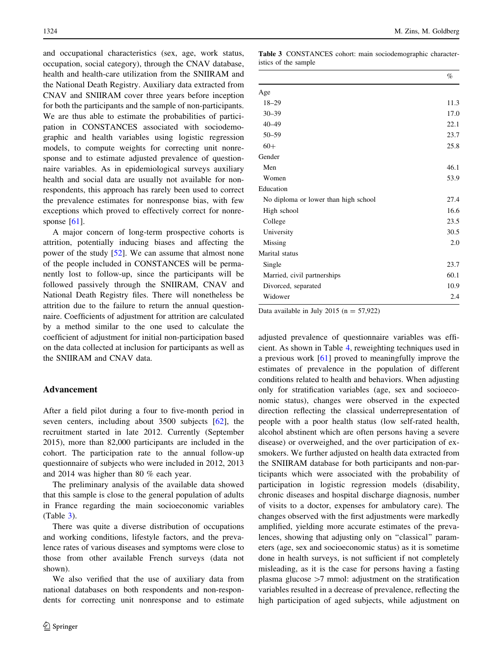and occupational characteristics (sex, age, work status, occupation, social category), through the CNAV database, health and health-care utilization from the SNIIRAM and the National Death Registry. Auxiliary data extracted from CNAV and SNIIRAM cover three years before inception for both the participants and the sample of non-participants. We are thus able to estimate the probabilities of participation in CONSTANCES associated with sociodemographic and health variables using logistic regression models, to compute weights for correcting unit nonresponse and to estimate adjusted prevalence of questionnaire variables. As in epidemiological surveys auxiliary health and social data are usually not available for nonrespondents, this approach has rarely been used to correct the prevalence estimates for nonresponse bias, with few exceptions which proved to effectively correct for nonre-sponse [[61\]](#page-11-0).

A major concern of long-term prospective cohorts is attrition, potentially inducing biases and affecting the power of the study [[52\]](#page-10-0). We can assume that almost none of the people included in CONSTANCES will be permanently lost to follow-up, since the participants will be followed passively through the SNIIRAM, CNAV and National Death Registry files. There will nonetheless be attrition due to the failure to return the annual questionnaire. Coefficients of adjustment for attrition are calculated by a method similar to the one used to calculate the coefficient of adjustment for initial non-participation based on the data collected at inclusion for participants as well as the SNIIRAM and CNAV data.

#### Advancement

After a field pilot during a four to five-month period in seven centers, including about 3500 subjects [\[62](#page-11-0)], the recruitment started in late 2012. Currently (September 2015), more than 82,000 participants are included in the cohort. The participation rate to the annual follow-up questionnaire of subjects who were included in 2012, 2013 and 2014 was higher than 80 % each year.

The preliminary analysis of the available data showed that this sample is close to the general population of adults in France regarding the main socioeconomic variables (Table 3).

There was quite a diverse distribution of occupations and working conditions, lifestyle factors, and the prevalence rates of various diseases and symptoms were close to those from other available French surveys (data not shown).

We also verified that the use of auxiliary data from national databases on both respondents and non-respondents for correcting unit nonresponse and to estimate

Table 3 CONSTANCES cohort: main sociodemographic characteristics of the sample

|                                      | $\%$ |
|--------------------------------------|------|
| Age                                  |      |
| $18 - 29$                            | 11.3 |
| $30 - 39$                            | 17.0 |
| $40 - 49$                            | 22.1 |
| $50 - 59$                            | 23.7 |
| $60+$                                | 25.8 |
| Gender                               |      |
| Men                                  | 46.1 |
| Women                                | 53.9 |
| Education                            |      |
| No diploma or lower than high school | 27.4 |
| High school                          | 16.6 |
| College                              | 23.5 |
| University                           | 30.5 |
| Missing                              | 2.0  |
| Marital status                       |      |
| Single                               | 23.7 |
| Married, civil partnerships          | 60.1 |
| Divorced, separated                  | 10.9 |
| Widower                              | 2.4  |
|                                      |      |

Data available in July 2015 ( $n = 57,922$ )

adjusted prevalence of questionnaire variables was efficient. As shown in Table [4,](#page-8-0) reweighting techniques used in a previous work [\[61](#page-11-0)] proved to meaningfully improve the estimates of prevalence in the population of different conditions related to health and behaviors. When adjusting only for stratification variables (age, sex and socioeconomic status), changes were observed in the expected direction reflecting the classical underrepresentation of people with a poor health status (low self-rated health, alcohol abstinent which are often persons having a severe disease) or overweighed, and the over participation of exsmokers. We further adjusted on health data extracted from the SNIIRAM database for both participants and non-participants which were associated with the probability of participation in logistic regression models (disability, chronic diseases and hospital discharge diagnosis, number of visits to a doctor, expenses for ambulatory care). The changes observed with the first adjustments were markedly amplified, yielding more accurate estimates of the prevalences, showing that adjusting only on ''classical'' parameters (age, sex and socioeconomic status) as it is sometime done in health surveys, is not sufficient if not completely misleading, as it is the case for persons having a fasting plasma glucose  $>7$  mmol: adjustment on the stratification variables resulted in a decrease of prevalence, reflecting the high participation of aged subjects, while adjustment on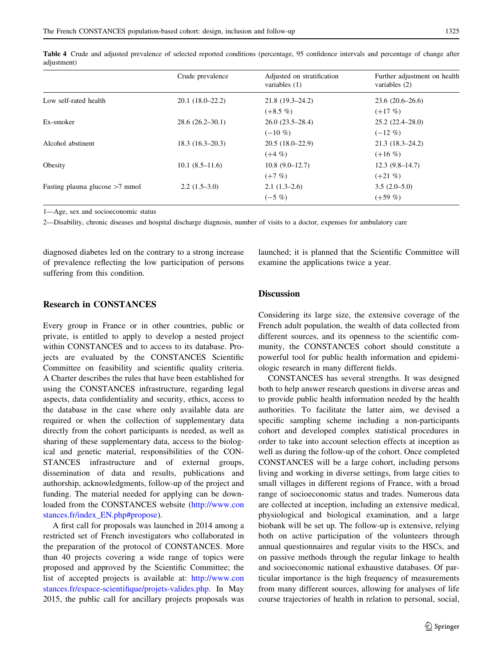|                                  | Crude prevalence    | Adjusted on stratification<br>variables (1) | Further adjustment on health<br>variables (2) |  |
|----------------------------------|---------------------|---------------------------------------------|-----------------------------------------------|--|
| Low self-rated health            | $20.1(18.0-22.2)$   | $21.8(19.3-24.2)$                           | $23.6(20.6-26.6)$                             |  |
|                                  |                     | $(+8.5\%)$                                  | $(+17, %)$                                    |  |
| Ex-smoker                        | $28.6(26.2 - 30.1)$ | $26.0(23.5-28.4)$                           | $25.2(22.4 - 28.0)$                           |  |
|                                  |                     | $(-10\%)$                                   | $(-12 \%)$                                    |  |
| Alcohol abstinent                | $18.3(16.3-20.3)$   | $20.5(18.0-22.9)$                           | $21.3(18.3 - 24.2)$                           |  |
|                                  |                     | $(+4\%)$                                    | $(+16\%)$                                     |  |
| Obesity                          | $10.1(8.5-11.6)$    | $10.8(9.0-12.7)$                            | $12.3(9.8-14.7)$                              |  |
|                                  |                     | $(+7,  \%)$                                 | $(+21\%)$                                     |  |
| Fasting plasma glucose $>7$ mmol | $2.2(1.5-3.0)$      | $2.1(1.3-2.6)$                              | $3.5(2.0-5.0)$                                |  |
|                                  |                     | $(-5,  \%)$                                 | $(+59\%)$                                     |  |

<span id="page-8-0"></span>Table 4 Crude and adjusted prevalence of selected reported conditions (percentage, 95 confidence intervals and percentage of change after adjustment)

1—Age, sex and socioeconomic status

2—Disability, chronic diseases and hospital discharge diagnosis, number of visits to a doctor, expenses for ambulatory care

diagnosed diabetes led on the contrary to a strong increase of prevalence reflecting the low participation of persons suffering from this condition.

Research in CONSTANCES

Every group in France or in other countries, public or private, is entitled to apply to develop a nested project within CONSTANCES and to access to its database. Projects are evaluated by the CONSTANCES Scientific Committee on feasibility and scientific quality criteria. A Charter describes the rules that have been established for using the CONSTANCES infrastructure, regarding legal aspects, data confidentiality and security, ethics, access to the database in the case where only available data are required or when the collection of supplementary data directly from the cohort participants is needed, as well as sharing of these supplementary data, access to the biological and genetic material, responsibilities of the CON-STANCES infrastructure and of external groups, dissemination of data and results, publications and authorship, acknowledgments, follow-up of the project and funding. The material needed for applying can be downloaded from the CONSTANCES website ([http://www.con](http://www.constances.fr/index_EN.php%23propose) [stances.fr/index\\_EN.php#propose\)](http://www.constances.fr/index_EN.php%23propose).

A first call for proposals was launched in 2014 among a restricted set of French investigators who collaborated in the preparation of the protocol of CONSTANCES. More than 40 projects covering a wide range of topics were proposed and approved by the Scientific Committee; the list of accepted projects is available at: [http://www.con](http://www.constances.fr/espace-scientifique/projets-valides.php) [stances.fr/espace-scientifique/projets-valides.php](http://www.constances.fr/espace-scientifique/projets-valides.php). In May 2015, the public call for ancillary projects proposals was launched; it is planned that the Scientific Committee will examine the applications twice a year.

# **Discussion**

Considering its large size, the extensive coverage of the French adult population, the wealth of data collected from different sources, and its openness to the scientific community, the CONSTANCES cohort should constitute a powerful tool for public health information and epidemiologic research in many different fields.

CONSTANCES has several strengths. It was designed both to help answer research questions in diverse areas and to provide public health information needed by the health authorities. To facilitate the latter aim, we devised a specific sampling scheme including a non-participants cohort and developed complex statistical procedures in order to take into account selection effects at inception as well as during the follow-up of the cohort. Once completed CONSTANCES will be a large cohort, including persons living and working in diverse settings, from large cities to small villages in different regions of France, with a broad range of socioeconomic status and trades. Numerous data are collected at inception, including an extensive medical, physiological and biological examination, and a large biobank will be set up. The follow-up is extensive, relying both on active participation of the volunteers through annual questionnaires and regular visits to the HSCs, and on passive methods through the regular linkage to health and socioeconomic national exhaustive databases. Of particular importance is the high frequency of measurements from many different sources, allowing for analyses of life course trajectories of health in relation to personal, social,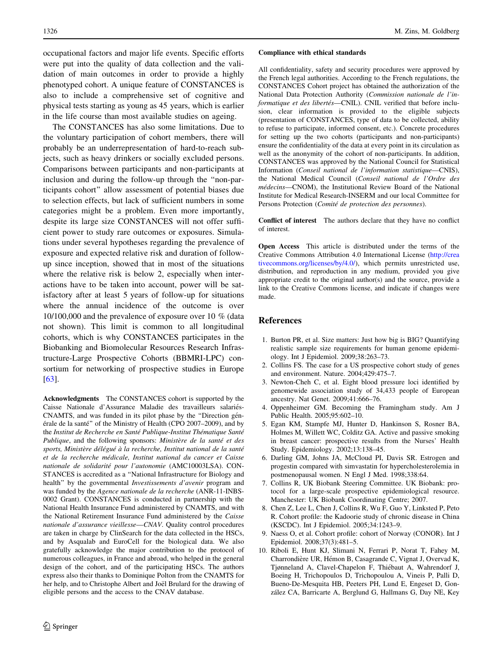<span id="page-9-0"></span>occupational factors and major life events. Specific efforts were put into the quality of data collection and the validation of main outcomes in order to provide a highly phenotyped cohort. A unique feature of CONSTANCES is also to include a comprehensive set of cognitive and physical tests starting as young as 45 years, which is earlier in the life course than most available studies on ageing.

The CONSTANCES has also some limitations. Due to the voluntary participation of cohort members, there will probably be an underrepresentation of hard-to-reach subjects, such as heavy drinkers or socially excluded persons. Comparisons between participants and non-participants at inclusion and during the follow-up through the ''non-participants cohort'' allow assessment of potential biases due to selection effects, but lack of sufficient numbers in some categories might be a problem. Even more importantly, despite its large size CONSTANCES will not offer sufficient power to study rare outcomes or exposures. Simulations under several hypotheses regarding the prevalence of exposure and expected relative risk and duration of followup since inception, showed that in most of the situations where the relative risk is below 2, especially when interactions have to be taken into account, power will be satisfactory after at least 5 years of follow-up for situations where the annual incidence of the outcome is over 10/100,000 and the prevalence of exposure over 10 % (data not shown). This limit is common to all longitudinal cohorts, which is why CONSTANCES participates in the Biobanking and Biomolecular Resources Research Infrastructure-Large Prospective Cohorts (BBMRI-LPC) consortium for networking of prospective studies in Europe [\[63](#page-11-0)].

Acknowledgments The CONSTANCES cohort is supported by the Caisse Nationale d'Assurance Maladie des travailleurs salariés-CNAMTS, and was funded in its pilot phase by the "Direction générale de la santé" of the Ministry of Health (CPO 2007–2009), and by the Institut de Recherche en Santé Publique-Institut Thématique Santé Publique, and the following sponsors: Ministère de la santé et des sports, Ministère délégué à la recherche, Institut national de la santé et de la recherche médicale, Institut national du cancer et Caisse nationale de solidarité pour l'autonomie (AMC10003LSA). CON-STANCES is accredited as a ''National Infrastructure for Biology and health'' by the governmental Investissements d'avenir program and was funded by the Agence nationale de la recherche (ANR-11-INBS-0002 Grant). CONSTANCES is conducted in partnership with the National Health Insurance Fund administered by CNAMTS, and with the National Retirement Insurance Fund administered by the Caisse nationale d'assurance vieillesse—CNAV. Quality control procedures are taken in charge by ClinSearch for the data collected in the HSCs, and by Asqualab and EuroCell for the biological data. We also gratefully acknowledge the major contribution to the protocol of numerous colleagues, in France and abroad, who helped in the general design of the cohort, and of the participating HSCs. The authors express also their thanks to Dominique Polton from the CNAMTS for her help, and to Christophe Albert and Joël Brulard for the drawing of eligible persons and the access to the CNAV database.

#### Compliance with ethical standards

All confidentiality, safety and security procedures were approved by the French legal authorities. According to the French regulations, the CONSTANCES Cohort project has obtained the authorization of the National Data Protection Authority (Commission nationale de l'informatique et des libertés-CNIL). CNIL verified that before inclusion, clear information is provided to the eligible subjects (presentation of CONSTANCES, type of data to be collected, ability to refuse to participate, informed consent, etc.). Concrete procedures for setting up the two cohorts (participants and non-participants) ensure the confidentiality of the data at every point in its circulation as well as the anonymity of the cohort of non-participants. In addition, CONSTANCES was approved by the National Council for Statistical Information (Conseil national de l'information statistique—CNIS), the National Medical Council (Conseil national de l'Ordre des médecins—CNOM), the Institutional Review Board of the National Institute for Medical Research-INSERM and our local Committee for Persons Protection (Comité de protection des personnes).

Conflict of interest The authors declare that they have no conflict of interest.

Open Access This article is distributed under the terms of the Creative Commons Attribution 4.0 International License ([http://crea](http://creativecommons.org/licenses/by/4.0/) [tivecommons.org/licenses/by/4.0/\)](http://creativecommons.org/licenses/by/4.0/), which permits unrestricted use, distribution, and reproduction in any medium, provided you give appropriate credit to the original author(s) and the source, provide a link to the Creative Commons license, and indicate if changes were made.

#### References

- 1. Burton PR, et al. Size matters: Just how big is BIG? Quantifying realistic sample size requirements for human genome epidemiology. Int J Epidemiol. 2009;38:263–73.
- 2. Collins FS. The case for a US prospective cohort study of genes and environment. Nature. 2004;429:475–7.
- 3. Newton-Cheh C, et al. Eight blood pressure loci identified by genomewide association study of 34,433 people of European ancestry. Nat Genet. 2009;41:666–76.
- 4. Oppenheimer GM. Becoming the Framingham study. Am J Public Health. 2005;95:602–10.
- 5. Egan KM, Stampfe MJ, Hunter D, Hankinson S, Rosner BA, Holmes M, Willett WC, Colditz GA. Active and passive smoking in breast cancer: prospective results from the Nurses' Health Study. Epidemiology. 2002;13:138–45.
- 6. Darling GM, Johns JA, McCloud PI, Davis SR. Estrogen and progestin compared with simvastatin for hypercholesterolemia in postmenopausal women. N Engl J Med. 1998;338:64.
- 7. Collins R, UK Biobank Steering Committee. UK Biobank: protocol for a large-scale prospective epidemiological resource. Manchester: UK Biobank Coordinating Centre; 2007.
- 8. Chen Z, Lee L, Chen J, Collins R, Wu F, Guo Y, Linksted P, Peto R. Cohort profile: the Kadoorie study of chronic disease in China (KSCDC). Int J Epidemiol. 2005;34:1243–9.
- 9. Naess O, et al. Cohort profile: cohort of Norway (CONOR). Int J Epidemiol. 2008;37(3):481–5.
- 10. Riboli E, Hunt KJ, Slimani N, Ferrari P, Norat T, Fahey M, Charrondière UR, Hémon B, Casagrande C, Vignat J, Overvad K, Tjønneland A, Clavel-Chapelon F, Thiébaut A, Wahrendorf J, Boeing H, Trichopoulos D, Trichopoulou A, Vineis P, Palli D, Bueno-De-Mesquita HB, Peeters PH, Lund E, Engeset D, González CA, Barricarte A, Berglund G, Hallmans G, Day NE, Key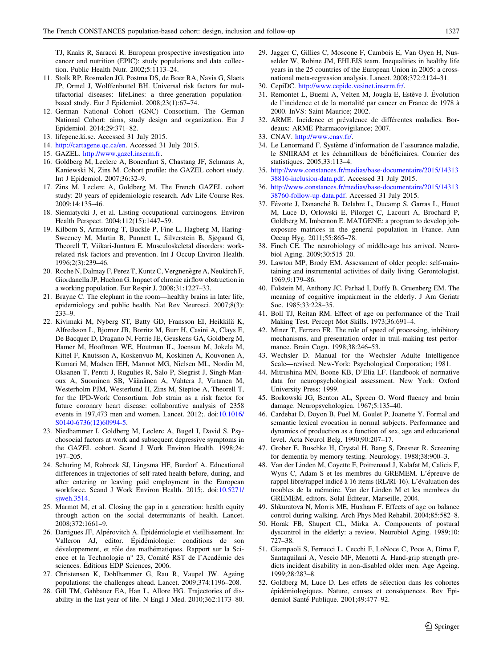<span id="page-10-0"></span>TJ, Kaaks R, Saracci R. European prospective investigation into cancer and nutrition (EPIC): study populations and data collection. Public Health Nutr. 2002;5:1113–24.

- 11. Stolk RP, Rosmalen JG, Postma DS, de Boer RA, Navis G, Slaets JP, Ormel J, Wolffenbuttel BH. Universal risk factors for multifactorial diseases: lifeLines: a three-generation populationbased study. Eur J Epidemiol. 2008;23(1):67–74.
- 12. German National Cohort (GNC) Consortium. The German National Cohort: aims, study design and organization. Eur J Epidemiol. 2014;29:371–82.
- 13. lifegene.ki.se. Accessed 31 July 2015.
- 14. [http://cartagene.qc.ca/en.](http://cartagene.qc.ca/en) Accessed 31 July 2015.
- 15. GAZEL. <http://www.gazel.inserm.fr>.
- 16. Goldberg M, Leclerc A, Bonenfant S, Chastang JF, Schmaus A, Kaniewski N, Zins M. Cohort profile: the GAZEL cohort study. Int J Epidemiol. 2007;36:32–9.
- 17. Zins M, Leclerc A, Goldberg M. The French GAZEL cohort study: 20 years of epidemiologic research. Adv Life Course Res. 2009;14:135–46.
- 18. Siemiatycki J, et al. Listing occupational carcinogens. Environ Health Perspect. 2004;112(15):1447–59.
- 19. Kilbom S, Armstrong T, Buckle P, Fine L, Hagberg M, Haring-Sweeney M, Martin B, Punnett L, Silverstein B, Sjøgaard G, Theorell T, Viikari-Juntura E. Musculoskeletal disorders: workrelated risk factors and prevention. Int J Occup Environ Health. 1996;2(3):239–46.
- 20. Roche N, Dalmay F, Perez T, Kuntz C, Vergnenègre A, Neukirch F, Giordanella JP, Huchon G. Impact of chronic airflow obstruction in a working population. Eur Respir J. 2008;31:1227–33.
- 21. Brayne C. The elephant in the room—healthy brains in later life, epidemiology and public health. Nat Rev Neurosci. 2007;8(3): 233–9.
- 22. Kivimaki M, Nyberg ST, Batty GD, Fransson EI, Heikkilä K, Alfredsson L, Bjorner JB, Borritz M, Burr H, Casini A, Clays E, De Bacquer D, Dragano N, Ferrie JE, Geuskens GA, Goldberg M, Hamer M, Hooftman WE, Houtman IL, Joensuu M, Jokela M, Kittel F, Knutsson A, Koskenvuo M, Koskinen A, Kouvonen A, Kumari M, Madsen IEH, Marmot MG, Nielsen ML, Nordin M, Oksanen T, Pentti J, Rugulies R, Salo P, Siegrist J, Singh-Manoux A, Suominen SB, Väänänen A, Vahtera J, Virtanen M, Westerholm PJM, Westerlund H, Zins M, Steptoe A, Theorell T, for the IPD-Work Consortium. Job strain as a risk factor for future coronary heart disease: collaborative analysis of 2358 events in 197,473 men and women. Lancet. 2012;. doi[:10.1016/](http://dx.doi.org/10.1016/S0140-6736(12)60994-5) [S0140-6736\(12\)60994-5](http://dx.doi.org/10.1016/S0140-6736(12)60994-5).
- 23. Niedhammer I, Goldberg M, Leclerc A, Bugel I, David S. Psychosocial factors at work and subsequent depressive symptoms in the GAZEL cohort. Scand J Work Environ Health. 1998;24: 197–205.
- 24. Schuring M, Robroek SJ, Lingsma HF, Burdorf A. Educational differences in trajectories of self-rated health before, during, and after entering or leaving paid employment in the European workforce. Scand J Work Environ Health. 2015;. doi[:10.5271/](http://dx.doi.org/10.5271/sjweh.3514) [sjweh.3514](http://dx.doi.org/10.5271/sjweh.3514).
- 25. Marmot M, et al. Closing the gap in a generation: health equity through action on the social determinants of health. Lancet. 2008;372:1661–9.
- 26. Dartigues JF, Alpérovitch A. Épidémiologie et vieillissement. In: Valleron AJ, editor. Épidémiologie: conditions de son développement, et rôle des mathématiques. Rapport sur la Science et la Technologie n° 23, Comité RST de l'Académie des sciences. Éditions EDP Sciences, 2006.
- 27. Christensen K, Doblhammer G, Rau R, Vaupel JW. Ageing populations: the challenges ahead. Lancet. 2009;374:1196–208.
- 28. Gill TM, Gahbauer EA, Han L, Allore HG. Trajectories of disability in the last year of life. N Engl J Med. 2010;362:1173–80.
- 29. Jagger C, Gillies C, Moscone F, Cambois E, Van Oyen H, Nusselder W, Robine JM, EHLEIS team. Inequalities in healthy life years in the 25 countries of the European Union in 2005: a crossnational meta-regression analysis. Lancet. 2008;372:2124–31.
- 30. CepiDC. <http://www.cepidc.vesinet.inserm.fr/>.
- 31. Remontet L, Buemi A, Velten M, Jougla E, Estève J. Évolution de l'incidence et de la mortalité par cancer en France de 1978 à 2000. InVS: Saint Maurice; 2002.
- 32. ARME. Incidence et prévalence de différentes maladies. Bordeaux: ARME Pharmacovigilance; 2007.
- 33. CNAV. [http://www.cnav.fr/.](http://www.cnav.fr/)
- 34. Le Lenormand F. Système d'information de l'assurance maladie, le SNIIRAM et les échantillons de bénéficiaires. Courrier des statistiques. 2005;33:113–4.
- 35. [http://www.constances.fr/medias/base-documentaire/2015/14313](http://www.constances.fr/medias/base-documentaire/2015/1431338816-inclusion-data.pdf) [38816-inclusion-data.pdf.](http://www.constances.fr/medias/base-documentaire/2015/1431338816-inclusion-data.pdf) Accessed 31 July 2015.
- 36. [http://www.constances.fr/medias/base-documentaire/2015/14313](http://www.constances.fr/medias/base-documentaire/2015/1431338760-follow-up-data.pdf) [38760-follow-up-data.pdf.](http://www.constances.fr/medias/base-documentaire/2015/1431338760-follow-up-data.pdf) Accessed 31 July 2015.
- 37. Févotte J, Dananché B, Delabre L, Ducamp S, Garras L, Houot M, Luce D, Orlowski E, Pilorget C, Lacourt A, Brochard P, Goldberg M, Imbernon E. MATGENE: a program to develop jobexposure matrices in the general population in France. Ann Occup Hyg. 2011;55:865–78.
- 38. Finch CE. The neurobiology of middle-age has arrived. Neurobiol Aging. 2009;30:515–20.
- 39. Lawton MP, Brody EM. Assessment of older people: self-maintaining and instrumental activities of daily living. Gerontologist. 1969;9:179–86.
- 40. Folstein M, Anthony JC, Parhad I, Duffy B, Gruenberg EM. The meaning of cognitive impairment in the elderly. J Am Geriatr Soc. 1985;33:228–35.
- 41. Boll TJ, Reitan RM. Effect of age on performance of the Trail Making Test. Percept Mot Skills. 1973;36:691–4.
- 42. Miner T, Ferraro FR. The role of speed of processing, inhibitory mechanisms, and presentation order in trail-making test performance. Brain Cogn. 1998;38:246–53.
- 43. Wechsler D. Manual for the Wechsler Adulte Intelligence Scale—revised. New-York: Psychological Corporation; 1981.
- 44. Mitrushina MN, Boone KB, D'Elia LF. Handbook of normative data for neuropsychological assessment. New York: Oxford University Press; 1999.
- 45. Borkowski JG, Benton AL, Spreen O. Word fluency and brain damage. Neuropsychologica. 1967;5:135–40.
- 46. Cardebat D, Doyon B, Puel M, Goulet P, Joanette Y. Formal and semantic lexical evocation in normal subjects. Performance and dynamics of production as a function of sex, age and educational level. Acta Neurol Belg. 1990;90:207–17.
- 47. Grober E, Buschke H, Crystal H, Bang S, Dresner R. Screening for dementia by memory testing. Neurology. 1988;38:900–3.
- 48. Van der Linden M, Coyette F, Poitrenaud J, Kalafat M, Calicis F, Wyns C, Adam S et les membres du GREMEM. L'épreuve de rappel libre/rappel indicé à 16 items (RL/RI-16). L'évaluation des troubles de la mémoire. Van der Linden M et les membres du GREMEM, editors. Solal Éditeur, Marseille, 2004.
- 49. Shkuratova N, Morris ME, Huxham F. Effects of age on balance control during walking. Arch Phys Med Rehabil. 2004;85:582–8.
- 50. Horak FB, Shupert CL, Mirka A. Components of postural dyscontrol in the elderly: a review. Neurobiol Aging. 1989;10: 727–38.
- 51. Giampaoli S, Ferrucci L, Cecchi F, LoNoce C, Poce A, Dima F, Santaquilani A, Vescio MF, Menotti A. Hand-grip strength predicts incident disability in non-disabled older men. Age Ageing. 1999;28:283–8.
- 52. Goldberg M, Luce D. Les effets de sélection dans les cohortes épidémiologiques. Nature, causes et conséquences. Rev Epidemiol Sante´ Publique. 2001;49:477–92.